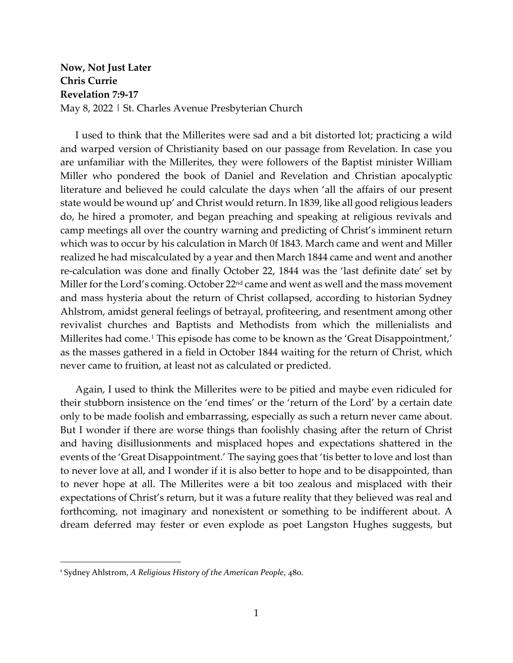## **Now, Not Just Later Chris Currie Revelation 7:9-17** May 8, 2022 | St. Charles Avenue Presbyterian Church

I used to think that the Millerites were sad and a bit distorted lot; practicing a wild and warped version of Christianity based on our passage from Revelation. In case you are unfamiliar with the Millerites, they were followers of the Baptist minister William Miller who pondered the book of Daniel and Revelation and Christian apocalyptic literature and believed he could calculate the days when 'all the affairs of our present state would be wound up' and Christ would return. In 1839, like all good religious leaders do, he hired a promoter, and began preaching and speaking at religious revivals and camp meetings all over the country warning and predicting of Christ's imminent return which was to occur by his calculation in March 0f 1843. March came and went and Miller realized he had miscalculated by a year and then March 1844 came and went and another re-calculation was done and finally October 22, 1844 was the 'last definite date' set by Miller for the Lord's coming. October 22<sup>nd</sup> came and went as well and the mass movement and mass hysteria about the return of Christ collapsed, according to historian Sydney Ahlstrom, amidst general feelings of betrayal, profiteering, and resentment among other revivalist churches and Baptists and Methodists from which the millenialists and Millerites had come.<sup>[1](#page-0-0)</sup> This episode has come to be known as the 'Great Disappointment,' as the masses gathered in a field in October 1844 waiting for the return of Christ, which never came to fruition, at least not as calculated or predicted.

Again, I used to think the Millerites were to be pitied and maybe even ridiculed for their stubborn insistence on the 'end times' or the 'return of the Lord' by a certain date only to be made foolish and embarrassing, especially as such a return never came about. But I wonder if there are worse things than foolishly chasing after the return of Christ and having disillusionments and misplaced hopes and expectations shattered in the events of the 'Great Disappointment.' The saying goes that 'tis better to love and lost than to never love at all, and I wonder if it is also better to hope and to be disappointed, than to never hope at all. The Millerites were a bit too zealous and misplaced with their expectations of Christ's return, but it was a future reality that they believed was real and forthcoming, not imaginary and nonexistent or something to be indifferent about. A dream deferred may fester or even explode as poet Langston Hughes suggests, but

<span id="page-0-0"></span><sup>1</sup> Sydney Ahlstrom, *A Religious History of the American People*, 480.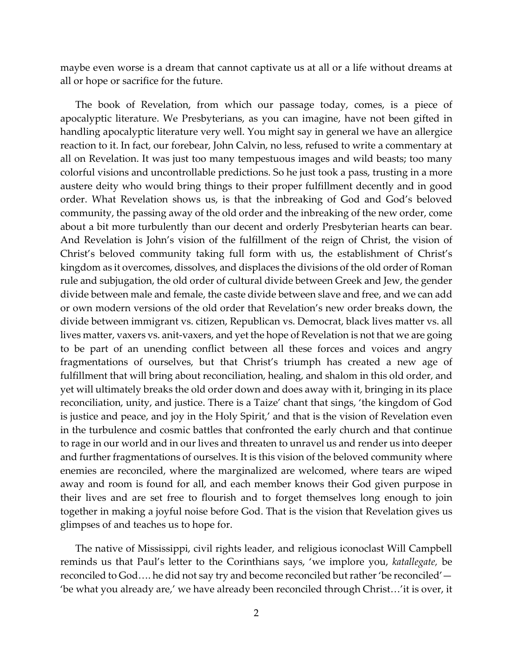maybe even worse is a dream that cannot captivate us at all or a life without dreams at all or hope or sacrifice for the future.

The book of Revelation, from which our passage today, comes, is a piece of apocalyptic literature. We Presbyterians, as you can imagine, have not been gifted in handling apocalyptic literature very well. You might say in general we have an allergice reaction to it. In fact, our forebear, John Calvin, no less, refused to write a commentary at all on Revelation. It was just too many tempestuous images and wild beasts; too many colorful visions and uncontrollable predictions. So he just took a pass, trusting in a more austere deity who would bring things to their proper fulfillment decently and in good order. What Revelation shows us, is that the inbreaking of God and God's beloved community, the passing away of the old order and the inbreaking of the new order, come about a bit more turbulently than our decent and orderly Presbyterian hearts can bear. And Revelation is John's vision of the fulfillment of the reign of Christ, the vision of Christ's beloved community taking full form with us, the establishment of Christ's kingdom as it overcomes, dissolves, and displaces the divisions of the old order of Roman rule and subjugation, the old order of cultural divide between Greek and Jew, the gender divide between male and female, the caste divide between slave and free, and we can add or own modern versions of the old order that Revelation's new order breaks down, the divide between immigrant vs. citizen, Republican vs. Democrat, black lives matter vs. all lives matter, vaxers vs. anit-vaxers, and yet the hope of Revelation is not that we are going to be part of an unending conflict between all these forces and voices and angry fragmentations of ourselves, but that Christ's triumph has created a new age of fulfillment that will bring about reconciliation, healing, and shalom in this old order, and yet will ultimately breaks the old order down and does away with it, bringing in its place reconciliation, unity, and justice. There is a Taize' chant that sings, 'the kingdom of God is justice and peace, and joy in the Holy Spirit,' and that is the vision of Revelation even in the turbulence and cosmic battles that confronted the early church and that continue to rage in our world and in our lives and threaten to unravel us and render us into deeper and further fragmentations of ourselves. It is this vision of the beloved community where enemies are reconciled, where the marginalized are welcomed, where tears are wiped away and room is found for all, and each member knows their God given purpose in their lives and are set free to flourish and to forget themselves long enough to join together in making a joyful noise before God. That is the vision that Revelation gives us glimpses of and teaches us to hope for.

The native of Mississippi, civil rights leader, and religious iconoclast Will Campbell reminds us that Paul's letter to the Corinthians says, 'we implore you, *katallegate,* be reconciled to God…. he did not say try and become reconciled but rather 'be reconciled'— 'be what you already are,' we have already been reconciled through Christ…'it is over, it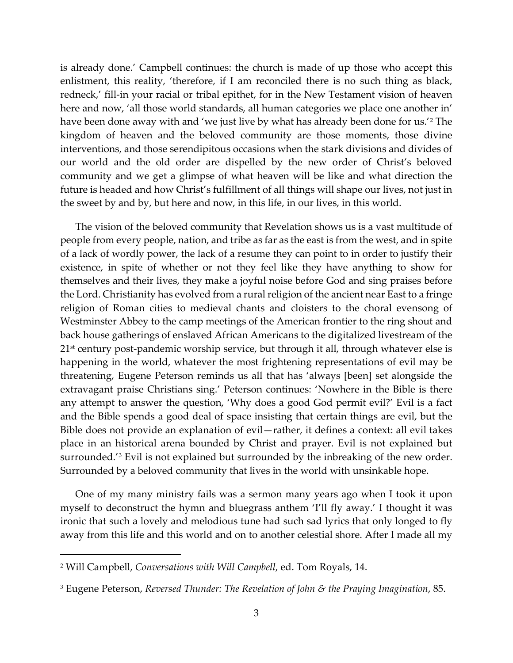is already done.' Campbell continues: the church is made of up those who accept this enlistment, this reality, 'therefore, if I am reconciled there is no such thing as black, redneck,' fill-in your racial or tribal epithet, for in the New Testament vision of heaven here and now, 'all those world standards, all human categories we place one another in' have been done away with and 'we just live by what has already been done for us.'[2](#page-2-0) The kingdom of heaven and the beloved community are those moments, those divine interventions, and those serendipitous occasions when the stark divisions and divides of our world and the old order are dispelled by the new order of Christ's beloved community and we get a glimpse of what heaven will be like and what direction the future is headed and how Christ's fulfillment of all things will shape our lives, not just in the sweet by and by, but here and now, in this life, in our lives, in this world.

The vision of the beloved community that Revelation shows us is a vast multitude of people from every people, nation, and tribe as far as the east is from the west, and in spite of a lack of wordly power, the lack of a resume they can point to in order to justify their existence, in spite of whether or not they feel like they have anything to show for themselves and their lives, they make a joyful noise before God and sing praises before the Lord. Christianity has evolved from a rural religion of the ancient near East to a fringe religion of Roman cities to medieval chants and cloisters to the choral evensong of Westminster Abbey to the camp meetings of the American frontier to the ring shout and back house gatherings of enslaved African Americans to the digitalized livestream of the  $21<sup>st</sup>$  century post-pandemic worship service, but through it all, through whatever else is happening in the world, whatever the most frightening representations of evil may be threatening, Eugene Peterson reminds us all that has 'always [been] set alongside the extravagant praise Christians sing.' Peterson continues: 'Nowhere in the Bible is there any attempt to answer the question, 'Why does a good God permit evil?' Evil is a fact and the Bible spends a good deal of space insisting that certain things are evil, but the Bible does not provide an explanation of evil—rather, it defines a context: all evil takes place in an historical arena bounded by Christ and prayer. Evil is not explained but surrounded.'[3](#page-2-1) Evil is not explained but surrounded by the inbreaking of the new order. Surrounded by a beloved community that lives in the world with unsinkable hope.

One of my many ministry fails was a sermon many years ago when I took it upon myself to deconstruct the hymn and bluegrass anthem 'I'll fly away.' I thought it was ironic that such a lovely and melodious tune had such sad lyrics that only longed to fly away from this life and this world and on to another celestial shore. After I made all my

<span id="page-2-0"></span><sup>2</sup> Will Campbell, *Conversations with Will Campbell*, ed. Tom Royals, 14.

<span id="page-2-1"></span><sup>3</sup> Eugene Peterson, *Reversed Thunder: The Revelation of John & the Praying Imagination*, 85.